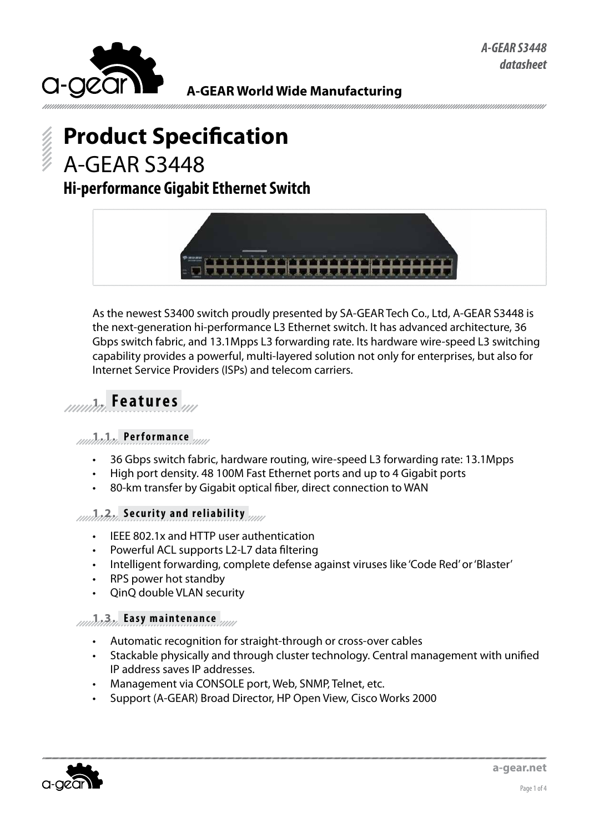

# **Product Specification** A-GEAR S3448

## **Hi-performance Gigabit Ethernet Switch**



As the newest S3400 switch proudly presented by SA-GEAR Tech Co., Ltd, A-GEAR S3448 is the next-generation hi-performance L3 Ethernet switch. It has advanced architecture, 36 Gbps switch fabric, and 13.1Mpps L3 forwarding rate. Its hardware wire-speed L3 switching capability provides a powerful, multi-layered solution not only for enterprises, but also for Internet Service Providers (ISPs) and telecom carriers.

# **1. Features**

#### **1.1. Performance**

- 36 Gbps switch fabric, hardware routing, wire-speed L3 forwarding rate: 13.1Mpps
- High port density. 48 100M Fast Ethernet ports and up to 4 Gigabit ports
- 80-km transfer by Gigabit optical fiber, direct connection to WAN

#### **1.2. Security and reliability**

- IEEE 802.1x and HTTP user authentication
- Powerful ACL supports L2-L7 data filtering
- Intelligent forwarding, complete defense against viruses like 'Code Red' or 'Blaster'
- RPS power hot standby
- QinQ double VLAN security

#### **1.3. Easy maintenance**

- Automatic recognition for straight-through or cross-over cables
- Stackable physically and through cluster technology. Central management with unified IP address saves IP addresses.
- Management via CONSOLE port, Web, SNMP, Telnet, etc.
- Support (A-GEAR) Broad Director, HP Open View, Cisco Works 2000

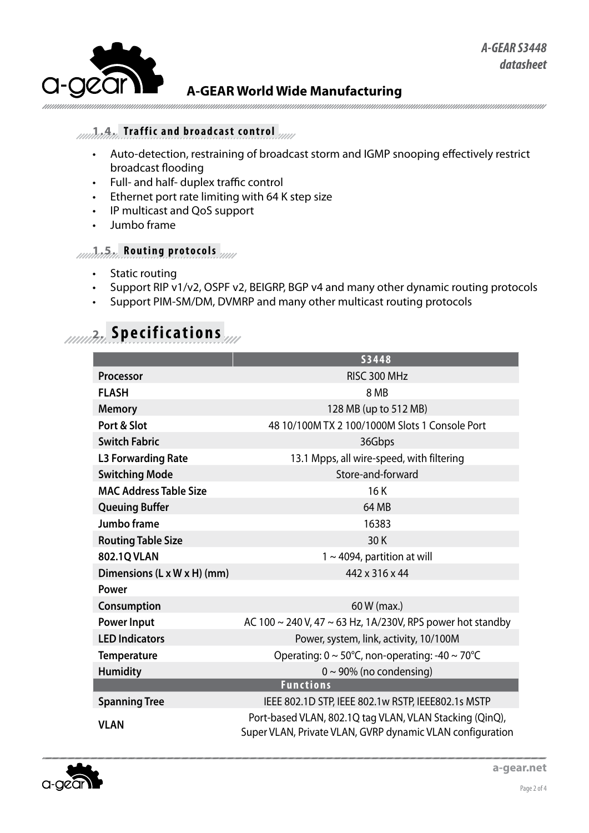

### **1.4. Traffic and broadcast control**

- • Auto-detection, restraining of broadcast storm and IGMP snooping effectively restrict broadcast flooding
- • Full- and half- duplex traffic control
- • Ethernet port rate limiting with 64 K step size
- • IP multicast and QoS support
- Jumbo frame

### **1.5. Routing protocols**

- Static routing
- Support RIP v1/v2, OSPF v2, BEIGRP, BGP v4 and many other dynamic routing protocols
- Support PIM-SM/DM, DVMRP and many other multicast routing protocols

# **2. Specifications**

|                               | <b>S3448</b>                                                                                                         |
|-------------------------------|----------------------------------------------------------------------------------------------------------------------|
| <b>Processor</b>              | RISC 300 MHz                                                                                                         |
| <b>FLASH</b>                  | 8 MB                                                                                                                 |
| <b>Memory</b>                 | 128 MB (up to 512 MB)                                                                                                |
| Port & Slot                   | 48 10/100M TX 2 100/1000M Slots 1 Console Port                                                                       |
| <b>Switch Fabric</b>          | 36Gbps                                                                                                               |
| <b>L3 Forwarding Rate</b>     | 13.1 Mpps, all wire-speed, with filtering                                                                            |
| <b>Switching Mode</b>         | Store-and-forward                                                                                                    |
| <b>MAC Address Table Size</b> | 16K                                                                                                                  |
| <b>Queuing Buffer</b>         | 64 MB                                                                                                                |
| Jumbo frame                   | 16383                                                                                                                |
| <b>Routing Table Size</b>     | 30K                                                                                                                  |
| 802.1Q VLAN                   | $1 \sim 4094$ , partition at will                                                                                    |
| Dimensions (L x W x H) (mm)   | 442 x 316 x 44                                                                                                       |
| Power                         |                                                                                                                      |
| Consumption                   | 60 W (max.)                                                                                                          |
| <b>Power Input</b>            | AC 100 $\sim$ 240 V, 47 $\sim$ 63 Hz, 1A/230V, RPS power hot standby                                                 |
| <b>LED Indicators</b>         | Power, system, link, activity, 10/100M                                                                               |
| <b>Temperature</b>            | Operating: $0 \sim 50^{\circ}$ C, non-operating: -40 ~ 70 $^{\circ}$ C                                               |
| <b>Humidity</b>               | $0 \sim 90\%$ (no condensing)                                                                                        |
|                               | <b>Functions</b>                                                                                                     |
| <b>Spanning Tree</b>          | IEEE 802.1D STP, IEEE 802.1w RSTP, IEEE802.1s MSTP                                                                   |
| <b>VLAN</b>                   | Port-based VLAN, 802.1Q tag VLAN, VLAN Stacking (QinQ),<br>Super VLAN, Private VLAN, GVRP dynamic VLAN configuration |

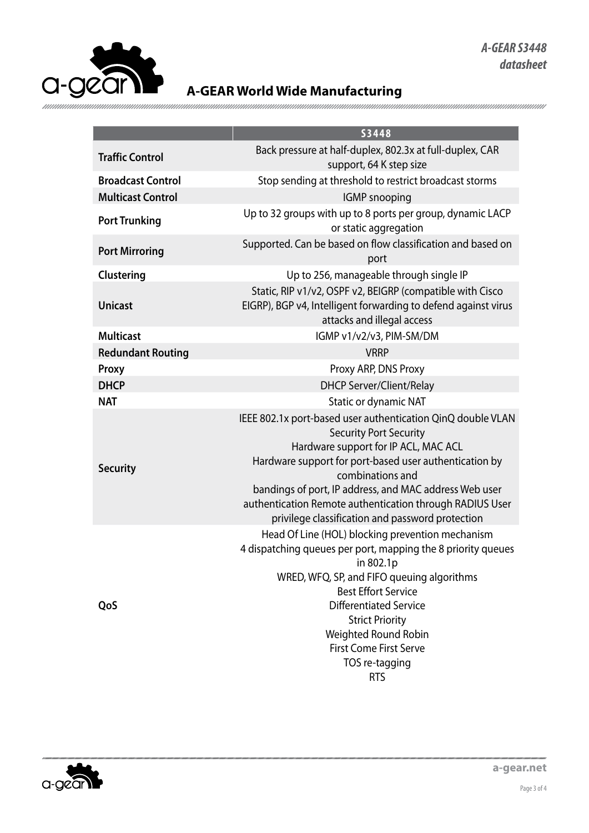

|                          | <b>S3448</b>                                                                                                                                                                                                                                                                                                                                                                                 |
|--------------------------|----------------------------------------------------------------------------------------------------------------------------------------------------------------------------------------------------------------------------------------------------------------------------------------------------------------------------------------------------------------------------------------------|
| <b>Traffic Control</b>   | Back pressure at half-duplex, 802.3x at full-duplex, CAR<br>support, 64 K step size                                                                                                                                                                                                                                                                                                          |
| <b>Broadcast Control</b> | Stop sending at threshold to restrict broadcast storms                                                                                                                                                                                                                                                                                                                                       |
| <b>Multicast Control</b> | <b>IGMP</b> snooping                                                                                                                                                                                                                                                                                                                                                                         |
| <b>Port Trunking</b>     | Up to 32 groups with up to 8 ports per group, dynamic LACP<br>or static aggregation                                                                                                                                                                                                                                                                                                          |
| <b>Port Mirroring</b>    | Supported. Can be based on flow classification and based on<br>port                                                                                                                                                                                                                                                                                                                          |
| Clustering               | Up to 256, manageable through single IP                                                                                                                                                                                                                                                                                                                                                      |
| <b>Unicast</b>           | Static, RIP v1/v2, OSPF v2, BEIGRP (compatible with Cisco<br>EIGRP), BGP v4, Intelligent forwarding to defend against virus<br>attacks and illegal access                                                                                                                                                                                                                                    |
| <b>Multicast</b>         | IGMP v1/v2/v3, PIM-SM/DM                                                                                                                                                                                                                                                                                                                                                                     |
| <b>Redundant Routing</b> | <b>VRRP</b>                                                                                                                                                                                                                                                                                                                                                                                  |
| Proxy                    | Proxy ARP, DNS Proxy                                                                                                                                                                                                                                                                                                                                                                         |
| <b>DHCP</b>              | <b>DHCP Server/Client/Relay</b>                                                                                                                                                                                                                                                                                                                                                              |
| <b>NAT</b>               | Static or dynamic NAT                                                                                                                                                                                                                                                                                                                                                                        |
| <b>Security</b>          | IEEE 802.1x port-based user authentication QinQ double VLAN<br><b>Security Port Security</b><br>Hardware support for IP ACL, MAC ACL<br>Hardware support for port-based user authentication by<br>combinations and<br>bandings of port, IP address, and MAC address Web user<br>authentication Remote authentication through RADIUS User<br>privilege classification and password protection |
| QoS                      | Head Of Line (HOL) blocking prevention mechanism<br>4 dispatching queues per port, mapping the 8 priority queues<br>in 802.1p<br>WRED, WFQ, SP, and FIFO queuing algorithms<br><b>Best Effort Service</b><br><b>Differentiated Service</b><br><b>Strict Priority</b><br>Weighted Round Robin<br><b>First Come First Serve</b><br>TOS re-tagging<br><b>RTS</b>                                |